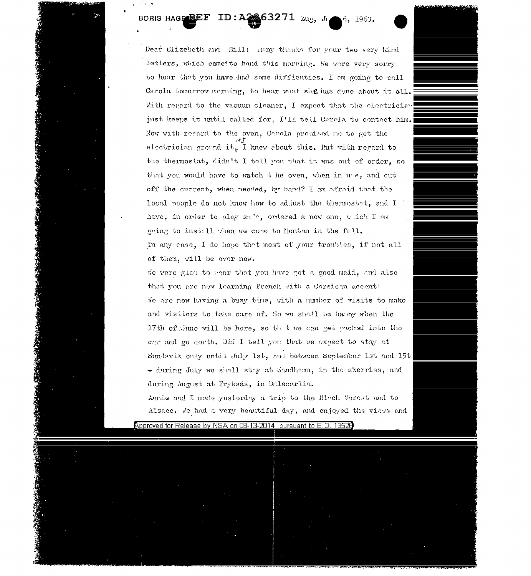## ID: A2263271 Zug, Ji 6, 1963. BORIS HAGEREF

Dear Elizebeth and Bill: hany thanks for your two very kind letters, which came to hand this morning. We were very sorry to hear that you have had some difficuties. I am poing to call Carola tomorrow morning, to hear what she has done about it all. With regard to the vacuum cleaner, I expect that the electrician just keeps it until called for, I'll tell Carola to contact him. Now with regard to the oven, Carola promised no to get the electricism ground it, I knew about this. But with regard to the thermostat, didn't I tell you that it was out of order, so that you would have to watch t he oven, when in use, and cut off the current, when needed, by hand? I am afraid that the local people do not know how to adjust the thermostat, and I have, in order to play salo, ordered a new one, which I am going to install when we come to Menton in the foll. In any case, I do hope that most of your troubles, if not all of them, will be over now.

We were glad to bear that you have got a good maid, and also that you are now learning French with a Corsican accent! We are now having a busy time, with a number of visits to make and visitors to take care of. So we shall be hasmy when the 17th of June will be here, so that we can get moked into the car and go north. Did I tell you that we expect to stay at Sun Isvik only until July 1st, and between September 1st and 15t' - during July we shall stay at Sandham, in the skerries, and during August at Fryksås, in Dalecerlia.

Annie and I mode yesterday a trip to the Black Forest and to Alsace. We had a very beautiful day, and enjoyed the views and

Approved for Release by NSA on 08-13-2014 pursuant to E.O. 13528

**BELLEY THROUGH** 

**大地震的 不可** 

性化生物质

| the second control of the second con-<br>$\mathcal{O}(\mathcal{O}_\mathcal{O})$ . The contribution of the contribution of the contribution of the contribution of the contribution of the contribution of the contribution of the contribution of the contribution of the contribution o<br>$\mathbb{E}_{\mathcal{L}^{(1)}}$ . |                                                                                                                                                                            | the control of the control of<br>the property of the con-                                                                                                                                                                                                                                                                                                                |
|--------------------------------------------------------------------------------------------------------------------------------------------------------------------------------------------------------------------------------------------------------------------------------------------------------------------------------|----------------------------------------------------------------------------------------------------------------------------------------------------------------------------|--------------------------------------------------------------------------------------------------------------------------------------------------------------------------------------------------------------------------------------------------------------------------------------------------------------------------------------------------------------------------|
| $\alpha$ , and $\alpha$ , and $\alpha$<br>the property of the control of the control of the control of                                                                                                                                                                                                                         |                                                                                                                                                                            | <b>Contract Contract Contract Contract</b><br>$\sim$<br><b>Contractor</b>                                                                                                                                                                                                                                                                                                |
|                                                                                                                                                                                                                                                                                                                                |                                                                                                                                                                            | and the state of<br>control of the<br>Anderson van de staat van de staat van de staat van de staat van de staat van de staat van de staat van de sta                                                                                                                                                                                                                     |
| <b>College</b><br>$\sim 10^{-10}$                                                                                                                                                                                                                                                                                              | <u>Andrew Harrison and The Communication of the Communication of the Communication of the Communication of the Co</u><br><b>Contract Contract Contract</b><br><b>State</b> | <u> Album barangan yang berasal dari sebagai pada 1990 dan pertama dan bagi dalam pada pada 1990 dan bagi dalam </u><br><b>State State</b>                                                                                                                                                                                                                               |
| and the control of<br>$\sim$<br>the contract of the contract of the contract of<br>the control of the con-<br><b>Contract Contract</b>                                                                                                                                                                                         | $\sim 10^{11}$ km s $^{-1}$<br>the control of the control of the                                                                                                           | the control of the control of the control of<br>and the company of the state<br>$\sim$<br>. .                                                                                                                                                                                                                                                                            |
| and the control of the con-<br>and the company of the                                                                                                                                                                                                                                                                          | and the control<br>the control of the control of<br>the contract of the contract of the                                                                                    | <b>Contract</b>                                                                                                                                                                                                                                                                                                                                                          |
| the control of the control of<br><b>STATE</b>                                                                                                                                                                                                                                                                                  | <b>Contractor</b><br>the control of the con-<br>the control of the control of the<br>the control of the control of<br>and the same states<br><b>Contract</b>               | <b>Contract Contract</b><br><b>All Control</b><br>the state of the con-<br>and the state of the state<br>the contract of the contract of the contract of the contract of the contract of<br>and the state of the state of<br>the contract of the contract of the contract of the contract of<br>the state of the control of the control of the control of the control of |
|                                                                                                                                                                                                                                                                                                                                | and the con-                                                                                                                                                               | the contract of the contract of the<br>the control of the control of<br><b>State Street</b><br>$\sim 10^{-11}$                                                                                                                                                                                                                                                           |
| <b>Contractor</b>                                                                                                                                                                                                                                                                                                              | <b>Contract Contract</b><br>$\sim$                                                                                                                                         | and the control of the<br><b>Contractor</b><br>the control of the con-                                                                                                                                                                                                                                                                                                   |